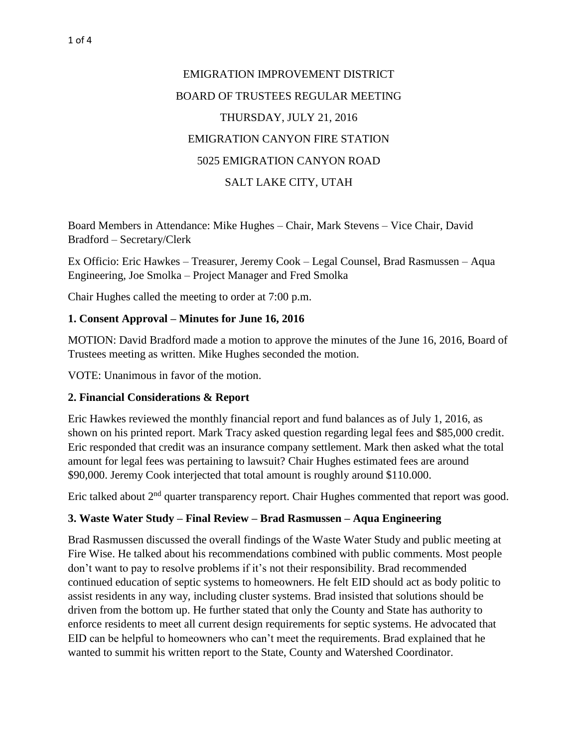# EMIGRATION IMPROVEMENT DISTRICT BOARD OF TRUSTEES REGULAR MEETING THURSDAY, JULY 21, 2016 EMIGRATION CANYON FIRE STATION 5025 EMIGRATION CANYON ROAD SALT LAKE CITY, UTAH

Board Members in Attendance: Mike Hughes – Chair, Mark Stevens – Vice Chair, David Bradford – Secretary/Clerk

Ex Officio: Eric Hawkes – Treasurer, Jeremy Cook – Legal Counsel, Brad Rasmussen – Aqua Engineering, Joe Smolka – Project Manager and Fred Smolka

Chair Hughes called the meeting to order at 7:00 p.m.

### **1. Consent Approval – Minutes for June 16, 2016**

MOTION: David Bradford made a motion to approve the minutes of the June 16, 2016, Board of Trustees meeting as written. Mike Hughes seconded the motion.

VOTE: Unanimous in favor of the motion.

### **2. Financial Considerations & Report**

Eric Hawkes reviewed the monthly financial report and fund balances as of July 1, 2016, as shown on his printed report. Mark Tracy asked question regarding legal fees and \$85,000 credit. Eric responded that credit was an insurance company settlement. Mark then asked what the total amount for legal fees was pertaining to lawsuit? Chair Hughes estimated fees are around \$90,000. Jeremy Cook interjected that total amount is roughly around \$110.000.

Eric talked about  $2<sup>nd</sup>$  quarter transparency report. Chair Hughes commented that report was good.

### **3. Waste Water Study – Final Review – Brad Rasmussen – Aqua Engineering**

Brad Rasmussen discussed the overall findings of the Waste Water Study and public meeting at Fire Wise. He talked about his recommendations combined with public comments. Most people don't want to pay to resolve problems if it's not their responsibility. Brad recommended continued education of septic systems to homeowners. He felt EID should act as body politic to assist residents in any way, including cluster systems. Brad insisted that solutions should be driven from the bottom up. He further stated that only the County and State has authority to enforce residents to meet all current design requirements for septic systems. He advocated that EID can be helpful to homeowners who can't meet the requirements. Brad explained that he wanted to summit his written report to the State, County and Watershed Coordinator.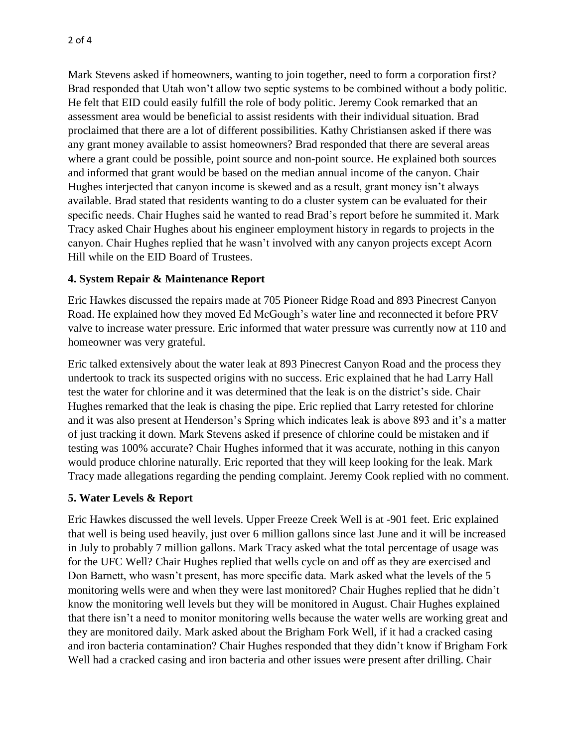Mark Stevens asked if homeowners, wanting to join together, need to form a corporation first? Brad responded that Utah won't allow two septic systems to be combined without a body politic. He felt that EID could easily fulfill the role of body politic. Jeremy Cook remarked that an assessment area would be beneficial to assist residents with their individual situation. Brad proclaimed that there are a lot of different possibilities. Kathy Christiansen asked if there was any grant money available to assist homeowners? Brad responded that there are several areas where a grant could be possible, point source and non-point source. He explained both sources and informed that grant would be based on the median annual income of the canyon. Chair Hughes interjected that canyon income is skewed and as a result, grant money isn't always available. Brad stated that residents wanting to do a cluster system can be evaluated for their specific needs. Chair Hughes said he wanted to read Brad's report before he summited it. Mark Tracy asked Chair Hughes about his engineer employment history in regards to projects in the canyon. Chair Hughes replied that he wasn't involved with any canyon projects except Acorn Hill while on the EID Board of Trustees.

### **4. System Repair & Maintenance Report**

Eric Hawkes discussed the repairs made at 705 Pioneer Ridge Road and 893 Pinecrest Canyon Road. He explained how they moved Ed McGough's water line and reconnected it before PRV valve to increase water pressure. Eric informed that water pressure was currently now at 110 and homeowner was very grateful.

Eric talked extensively about the water leak at 893 Pinecrest Canyon Road and the process they undertook to track its suspected origins with no success. Eric explained that he had Larry Hall test the water for chlorine and it was determined that the leak is on the district's side. Chair Hughes remarked that the leak is chasing the pipe. Eric replied that Larry retested for chlorine and it was also present at Henderson's Spring which indicates leak is above 893 and it's a matter of just tracking it down. Mark Stevens asked if presence of chlorine could be mistaken and if testing was 100% accurate? Chair Hughes informed that it was accurate, nothing in this canyon would produce chlorine naturally. Eric reported that they will keep looking for the leak. Mark Tracy made allegations regarding the pending complaint. Jeremy Cook replied with no comment.

#### **5. Water Levels & Report**

Eric Hawkes discussed the well levels. Upper Freeze Creek Well is at -901 feet. Eric explained that well is being used heavily, just over 6 million gallons since last June and it will be increased in July to probably 7 million gallons. Mark Tracy asked what the total percentage of usage was for the UFC Well? Chair Hughes replied that wells cycle on and off as they are exercised and Don Barnett, who wasn't present, has more specific data. Mark asked what the levels of the 5 monitoring wells were and when they were last monitored? Chair Hughes replied that he didn't know the monitoring well levels but they will be monitored in August. Chair Hughes explained that there isn't a need to monitor monitoring wells because the water wells are working great and they are monitored daily. Mark asked about the Brigham Fork Well, if it had a cracked casing and iron bacteria contamination? Chair Hughes responded that they didn't know if Brigham Fork Well had a cracked casing and iron bacteria and other issues were present after drilling. Chair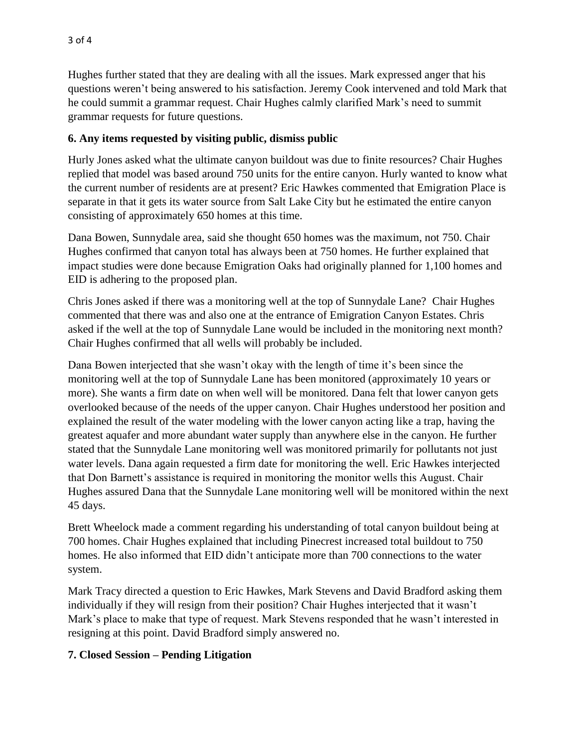Hughes further stated that they are dealing with all the issues. Mark expressed anger that his questions weren't being answered to his satisfaction. Jeremy Cook intervened and told Mark that he could summit a grammar request. Chair Hughes calmly clarified Mark's need to summit grammar requests for future questions.

## **6. Any items requested by visiting public, dismiss public**

Hurly Jones asked what the ultimate canyon buildout was due to finite resources? Chair Hughes replied that model was based around 750 units for the entire canyon. Hurly wanted to know what the current number of residents are at present? Eric Hawkes commented that Emigration Place is separate in that it gets its water source from Salt Lake City but he estimated the entire canyon consisting of approximately 650 homes at this time.

Dana Bowen, Sunnydale area, said she thought 650 homes was the maximum, not 750. Chair Hughes confirmed that canyon total has always been at 750 homes. He further explained that impact studies were done because Emigration Oaks had originally planned for 1,100 homes and EID is adhering to the proposed plan.

Chris Jones asked if there was a monitoring well at the top of Sunnydale Lane? Chair Hughes commented that there was and also one at the entrance of Emigration Canyon Estates. Chris asked if the well at the top of Sunnydale Lane would be included in the monitoring next month? Chair Hughes confirmed that all wells will probably be included.

Dana Bowen interjected that she wasn't okay with the length of time it's been since the monitoring well at the top of Sunnydale Lane has been monitored (approximately 10 years or more). She wants a firm date on when well will be monitored. Dana felt that lower canyon gets overlooked because of the needs of the upper canyon. Chair Hughes understood her position and explained the result of the water modeling with the lower canyon acting like a trap, having the greatest aquafer and more abundant water supply than anywhere else in the canyon. He further stated that the Sunnydale Lane monitoring well was monitored primarily for pollutants not just water levels. Dana again requested a firm date for monitoring the well. Eric Hawkes interjected that Don Barnett's assistance is required in monitoring the monitor wells this August. Chair Hughes assured Dana that the Sunnydale Lane monitoring well will be monitored within the next 45 days.

Brett Wheelock made a comment regarding his understanding of total canyon buildout being at 700 homes. Chair Hughes explained that including Pinecrest increased total buildout to 750 homes. He also informed that EID didn't anticipate more than 700 connections to the water system.

Mark Tracy directed a question to Eric Hawkes, Mark Stevens and David Bradford asking them individually if they will resign from their position? Chair Hughes interjected that it wasn't Mark's place to make that type of request. Mark Stevens responded that he wasn't interested in resigning at this point. David Bradford simply answered no.

### **7. Closed Session – Pending Litigation**